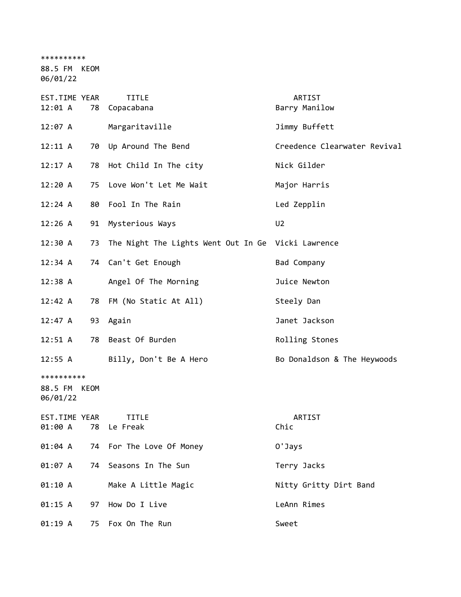\*\*\*\*\*\*\*\*\*\*

88.5 FM KEOM

06/01/22

| EST.TIME YEAR<br>12:01 A               |    | <b>TITLE</b><br>78 Copacabana                      | ARTIST<br>Barry Manilow      |
|----------------------------------------|----|----------------------------------------------------|------------------------------|
| 12:07 A                                |    | Margaritaville                                     | Jimmy Buffett                |
| 12:11 A                                |    | 70 Up Around The Bend                              | Creedence Clearwater Revival |
| 12:17 A                                |    | 78 Hot Child In The city                           | Nick Gilder                  |
| 12:20A                                 |    | 75 Love Won't Let Me Wait                          | Major Harris                 |
| 12:24 A                                | 80 | Fool In The Rain                                   | Led Zepplin                  |
| 12:26 A                                | 91 | Mysterious Ways                                    | U <sub>2</sub>               |
| 12:30 A                                | 73 | The Night The Lights Went Out In Ge Vicki Lawrence |                              |
| 12:34 A                                |    | 74 Can't Get Enough                                | Bad Company                  |
| $12:38$ A                              |    | Angel Of The Morning                               | Juice Newton                 |
| 12:42 A                                |    | 78 FM (No Static At All)                           | Steely Dan                   |
| 12:47 A                                |    | 93 Again                                           | Janet Jackson                |
| $12:51 \; A$                           |    | 78 Beast Of Burden                                 | Rolling Stones               |
| 12:55 A                                |    | Billy, Don't Be A Hero                             | Bo Donaldson & The Heywoods  |
| **********<br>88.5 FM KEOM<br>06/01/22 |    |                                                    |                              |
| EST.TIME YEAR<br>01:00 A               | 78 | <b>TITLE</b><br>Le Freak                           | ARTIST<br>Chic               |
|                                        |    | 01:04 A 74 For The Love Of Money                   | O'Jays                       |
| 01:07 A                                |    | 74 Seasons In The Sun                              | Terry Jacks                  |
| 01:10 A                                |    | Make A Little Magic                                | Nitty Gritty Dirt Band       |
| 01:15 A                                | 97 | How Do I Live                                      | LeAnn Rimes                  |
| 01:19 A                                | 75 | Fox On The Run                                     | Sweet                        |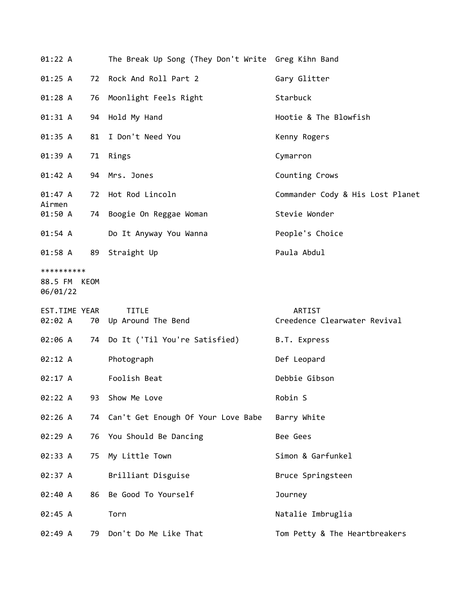| 01:22 A                                |    | The Break Up Song (They Don't Write Greg Kihn Band |                                               |
|----------------------------------------|----|----------------------------------------------------|-----------------------------------------------|
| 01:25 A                                |    | 72 Rock And Roll Part 2                            | Gary Glitter                                  |
| 01:28 A                                |    | 76 Moonlight Feels Right                           | Starbuck                                      |
| 01:31 A                                |    | 94 Hold My Hand                                    | Hootie & The Blowfish                         |
| 01:35 A                                |    | 81 I Don't Need You                                | Kenny Rogers                                  |
| 01:39 A                                |    | 71 Rings                                           | Cymarron                                      |
| 01:42 A                                |    | 94 Mrs. Jones                                      | Counting Crows                                |
| 01:47 A<br>Airmen                      |    | 72 Hot Rod Lincoln                                 | Commander Cody & His Lost Planet              |
| 01:50 A                                |    | 74 Boogie On Reggae Woman                          | Stevie Wonder                                 |
| 01:54 A                                |    | Do It Anyway You Wanna                             | People's Choice                               |
| $01:58$ A                              |    | 89 Straight Up                                     | Paula Abdul                                   |
| **********<br>88.5 FM KEOM<br>06/01/22 |    |                                                    |                                               |
|                                        |    |                                                    |                                               |
| EST.TIME YEAR<br>02:02 A               |    | <b>TITLE</b><br>70 Up Around The Bend              | <b>ARTIST</b><br>Creedence Clearwater Revival |
| 02:06 A                                |    | 74 Do It ('Til You're Satisfied)                   | B.T. Express                                  |
| 02:12 A                                |    | Photograph                                         | Def Leopard                                   |
| 02:17 A                                |    | Foolish Beat                                       | Debbie Gibson                                 |
| 02:22 A                                | 93 | Show Me Love                                       | Robin S                                       |
| 02:26 A                                |    | 74 Can't Get Enough Of Your Love Babe              | Barry White                                   |
| 02:29A                                 |    | 76 You Should Be Dancing                           | Bee Gees                                      |
| 02:33 A                                | 75 | My Little Town                                     | Simon & Garfunkel                             |
| 02:37 A                                |    | Brilliant Disguise                                 | Bruce Springsteen                             |
| 02:40 A                                | 86 | Be Good To Yourself                                | Journey                                       |
| 02:45 A                                |    | Torn                                               | Natalie Imbruglia                             |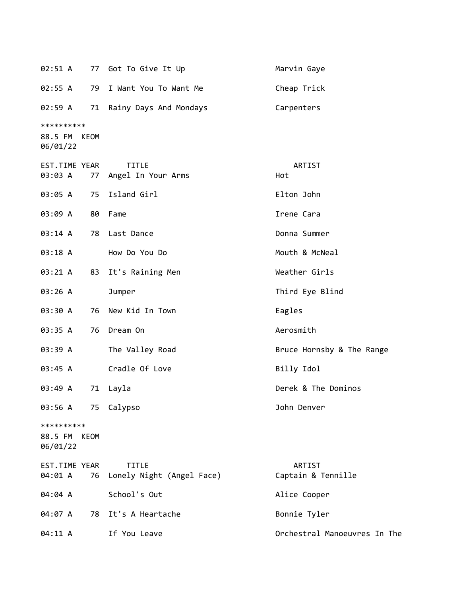|                                        |    | 02:51 A 77 Got To Give It Up              | Marvin Gaye                  |
|----------------------------------------|----|-------------------------------------------|------------------------------|
| 02:55 A                                |    | 79 I Want You To Want Me                  | Cheap Trick                  |
| 02:59 A                                |    | 71 Rainy Days And Mondays                 | Carpenters                   |
| **********<br>88.5 FM KEOM<br>06/01/22 |    |                                           |                              |
| EST.TIME YEAR<br>03:03 A               |    | <b>TITLE</b><br>77 Angel In Your Arms     | ARTIST<br>Hot                |
| 03:05 A                                |    | 75 Island Girl                            | Elton John                   |
| 03:09 A                                |    | 80 Fame                                   | Irene Cara                   |
| 03:14 A                                |    | 78 Last Dance                             | Donna Summer                 |
| 03:18 A                                |    | How Do You Do                             | Mouth & McNeal               |
| 03:21 A                                |    | 83 It's Raining Men                       | Weather Girls                |
| 03:26 A                                |    | Jumper                                    | Third Eye Blind              |
| 03:30 A                                |    | 76 New Kid In Town                        | Eagles                       |
| 03:35 A                                |    | 76 Dream On                               | Aerosmith                    |
| 03:39 A                                |    | The Valley Road                           | Bruce Hornsby & The Range    |
| 03:45 A                                |    | Cradle Of Love                            | Billy Idol                   |
| 03:49 A                                | 71 | Layla                                     | Derek & The Dominos          |
| 03:56 A                                |    | 75 Calypso                                | John Denver                  |
| **********<br>88.5 FM KEOM<br>06/01/22 |    |                                           |                              |
| EST.TIME YEAR<br>04:01 A               | 76 | <b>TITLE</b><br>Lonely Night (Angel Face) | ARTIST<br>Captain & Tennille |
| 04:04 A                                |    | School's Out                              | Alice Cooper                 |
| 04:07 A                                |    | 78 It's A Heartache                       | Bonnie Tyler                 |
| 04:11 A                                |    | If You Leave                              | Orchestral Manoeuvres In The |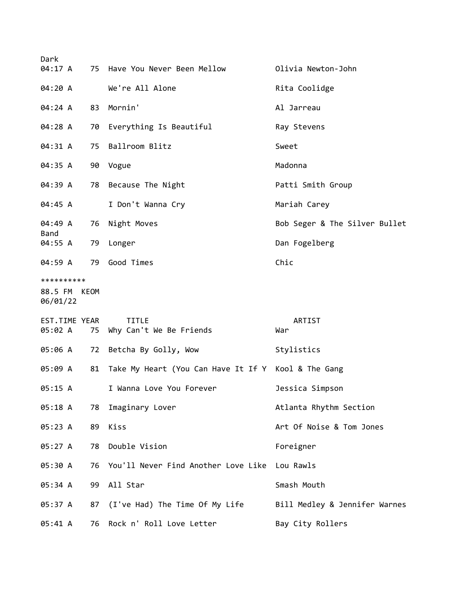| Dark                                   |    | 04:17 A 75 Have You Never Been Mellow               | Olivia Newton-John            |
|----------------------------------------|----|-----------------------------------------------------|-------------------------------|
| 04:20 A                                |    | We're All Alone                                     | Rita Coolidge                 |
| 04:24 A                                | 83 | Mornin'                                             | Al Jarreau                    |
| 04:28 A                                |    | 70 Everything Is Beautiful                          | Ray Stevens                   |
| 04:31 A                                | 75 | Ballroom Blitz                                      | Sweet                         |
| 04:35 A                                |    | 90 Vogue                                            | Madonna                       |
| 04:39 A                                |    | 78 Because The Night                                | Patti Smith Group             |
| 04:45 A                                |    | I Don't Wanna Cry                                   | Mariah Carey                  |
| 04:49 A                                |    | 76 Night Moves                                      | Bob Seger & The Silver Bullet |
| Band<br>04:55 A                        |    | 79 Longer                                           | Dan Fogelberg                 |
| 04:59 A                                |    | 79 Good Times                                       | Chic                          |
| **********<br>88.5 FM KEOM<br>06/01/22 |    |                                                     |                               |
| EST.TIME YEAR<br>05:02 A               | 75 | <b>TITLE</b><br>Why Can't We Be Friends             | ARTIST<br>War                 |
| 05:06 A                                |    | 72 Betcha By Golly, Wow                             | Stylistics                    |
| 05:09 A                                | 81 | Take My Heart (You Can Have It If Y Kool & The Gang |                               |
| 05:15 A                                |    | I Wanna Love You Forever                            | Jessica Simpson               |
| 05:18 A                                | 78 | Imaginary Lover                                     | Atlanta Rhythm Section        |
| 05:23 A                                | 89 | Kiss                                                | Art Of Noise & Tom Jones      |
| 05:27 A                                | 78 | Double Vision                                       | Foreigner                     |
| 05:30 A                                |    | 76 You'll Never Find Another Love Like              | Lou Rawls                     |
| 05:34 A                                |    | 99 All Star                                         | Smash Mouth                   |
| 05:37 A                                |    | 87 (I've Had) The Time Of My Life                   | Bill Medley & Jennifer Warnes |
| 05:41 A                                | 76 | Rock n' Roll Love Letter                            | Bay City Rollers              |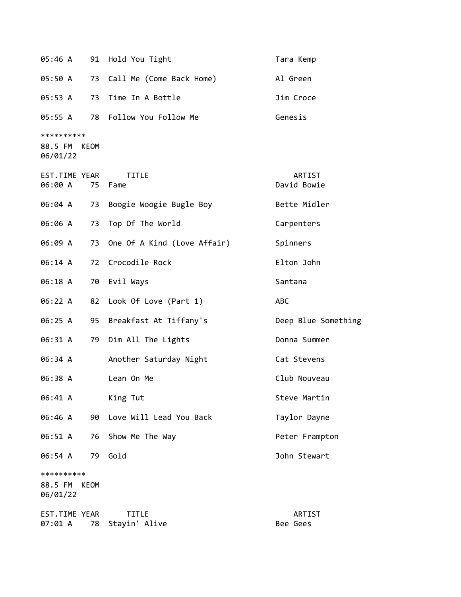| 05:46 A                                |      | 91 Hold You Tight                   | Tara Kemp             |
|----------------------------------------|------|-------------------------------------|-----------------------|
|                                        |      | 05:50 A 73 Call Me (Come Back Home) | Al Green              |
| 05:53 A                                |      | 73 Time In A Bottle                 | Jim Croce             |
| 05:55 A                                | 78   | Follow You Follow Me                | Genesis               |
| **********<br>88.5 FM KEOM<br>06/01/22 |      |                                     |                       |
| EST.TIME YEAR<br>06:00 A               |      | <b>TITLE</b><br>75 Fame             | ARTIST<br>David Bowie |
| 06:04 A                                | 73   | Boogie Woogie Bugle Boy             | Bette Midler          |
| 06:06 A                                |      | 73 Top Of The World                 | Carpenters            |
| 06:09 A                                |      | 73 One Of A Kind (Love Affair)      | Spinners              |
| 06:14 A                                |      | 72 Crocodile Rock                   | Elton John            |
| 06:18 A                                |      | 70 Evil Ways                        | Santana               |
| 06:22 A                                |      | 82 Look Of Love (Part 1)            | <b>ABC</b>            |
| 06:25 A                                | 95   | Breakfast At Tiffany's              | Deep Blue Something   |
| 06:31 A                                | 79   | Dim All The Lights                  | Donna Summer          |
| 06:34 A                                |      | Another Saturday Night              | Cat Stevens           |
| 06:38 A                                |      | Lean On Me                          | Club Nouveau          |
| 06:41 A                                |      | King Tut                            | Steve Martin          |
| 06:46 A                                | 90   | Love Will Lead You Back             | Taylor Dayne          |
| 06:51 A                                | 76   | Show Me The Way                     | Peter Frampton        |
| 06:54 A                                | 79   | Gold                                | John Stewart          |
| **********<br>88.5 FM<br>06/01/22      | KEOM |                                     |                       |
| EST.TIME YEAR<br>07:01 A               | 78   | TITLE<br>Stayin' Alive              | ARTIST<br>Bee Gees    |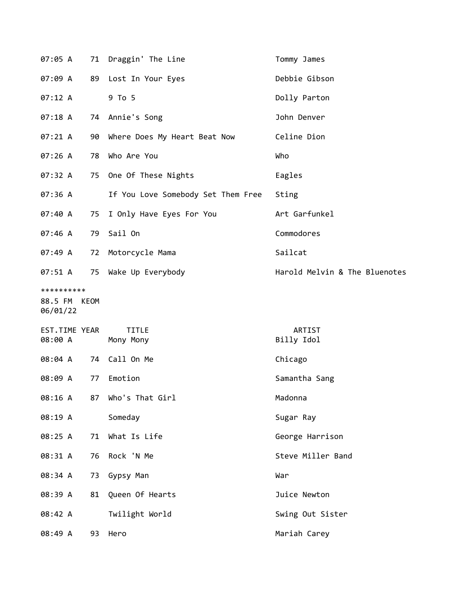| 07:05 A                                |    | 71 Draggin' The Line               | Tommy James                   |
|----------------------------------------|----|------------------------------------|-------------------------------|
| 07:09 A                                |    | 89 Lost In Your Eyes               | Debbie Gibson                 |
| 07:12 A                                |    | 9 To 5                             | Dolly Parton                  |
| 07:18 A                                |    | 74 Annie's Song                    | John Denver                   |
| 07:21 A                                |    | 90 Where Does My Heart Beat Now    | Celine Dion                   |
| 07:26 A                                | 78 | Who Are You                        | Who                           |
| 07:32 A                                |    | 75 One Of These Nights             | Eagles                        |
| 07:36 A                                |    | If You Love Somebody Set Them Free | Sting                         |
| 07:40 A                                | 75 | I Only Have Eyes For You           | Art Garfunkel                 |
| 07:46 A                                | 79 | Sail On                            | Commodores                    |
| 07:49 A                                |    | 72 Motorcycle Mama                 | Sailcat                       |
| 07:51 A                                |    | 75 Wake Up Everybody               | Harold Melvin & The Bluenotes |
| **********<br>88.5 FM KEOM<br>06/01/22 |    |                                    |                               |
| EST.TIME YEAR<br>08:00 A               |    | <b>TITLE</b><br>Mony Mony          | ARTIST<br>Billy Idol          |
| 08:04 A                                |    | 74 Call On Me                      | Chicago                       |
| 08:09 A                                | 77 | Emotion                            | Samantha Sang                 |
| 08:16 A                                |    | 87 Who's That Girl                 | Madonna                       |
| 08:19 A                                |    | Someday                            | Sugar Ray                     |
| 08:25 A                                | 71 | What Is Life                       | George Harrison               |
| 08:31 A                                | 76 | Rock 'N Me                         | Steve Miller Band             |
| 08:34 A                                | 73 | Gypsy Man                          | War                           |
| 08:39 A                                | 81 | Queen Of Hearts                    | Juice Newton                  |
| 08:42 A                                |    | Twilight World                     | Swing Out Sister              |
| 08:49 A                                |    | 93 Hero                            | Mariah Carey                  |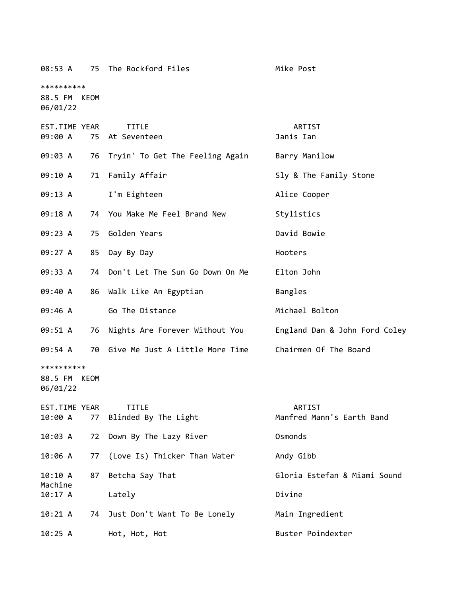| 08:53 A                                |      | 75 The Rockford Files                | Mike Post                           |
|----------------------------------------|------|--------------------------------------|-------------------------------------|
| **********<br>88.5 FM KEOM<br>06/01/22 |      |                                      |                                     |
| EST.TIME YEAR<br>09:00 A               |      | <b>TITLE</b><br>75 At Seventeen      | ARTIST<br>Janis Ian                 |
| 09:03 A                                |      | 76 Tryin' To Get The Feeling Again   | Barry Manilow                       |
| 09:10 A                                |      | 71 Family Affair                     | Sly & The Family Stone              |
| 09:13 A                                |      | I'm Eighteen                         | Alice Cooper                        |
| 09:18 A                                |      | 74 You Make Me Feel Brand New        | Stylistics                          |
| 09:23 A                                | 75   | Golden Years                         | David Bowie                         |
| 09:27 A                                |      | 85 Day By Day                        | Hooters                             |
| 09:33 A                                |      | 74 Don't Let The Sun Go Down On Me   | Elton John                          |
| 09:40 A                                |      | 86 Walk Like An Egyptian             | Bangles                             |
| 09:46 A                                |      | Go The Distance                      | Michael Bolton                      |
| 09:51 A                                |      | 76 Nights Are Forever Without You    | England Dan & John Ford Coley       |
| 09:54 A                                |      | 70 Give Me Just A Little More Time   | Chairmen Of The Board               |
| **********<br>88.5 FM<br>06/01/22      | KEOM |                                      |                                     |
| EST.TIME YEAR<br>10:00 A               | 77   | <b>TITLE</b><br>Blinded By The Light | ARTIST<br>Manfred Mann's Earth Band |
| 10:03 A                                | 72   | Down By The Lazy River               | Osmonds                             |
| 10:06 A                                | 77   | (Love Is) Thicker Than Water         | Andy Gibb                           |
| 10:10A<br>Machine                      | 87   | Betcha Say That                      | Gloria Estefan & Miami Sound        |
| 10:17A                                 |      | Lately                               | Divine                              |
| 10:21 A                                | 74   | Just Don't Want To Be Lonely         | Main Ingredient                     |
| 10:25 A                                |      | Hot, Hot, Hot                        | Buster Poindexter                   |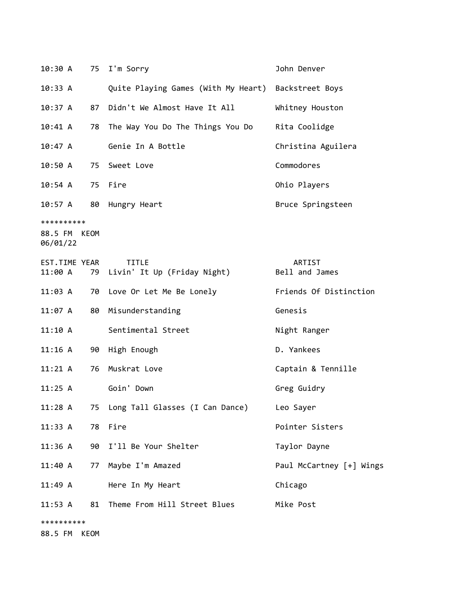| 10:30 A                                |      | 75 I'm Sorry                                        | John Denver              |
|----------------------------------------|------|-----------------------------------------------------|--------------------------|
| 10:33 A                                |      | Quite Playing Games (With My Heart) Backstreet Boys |                          |
| 10:37 A                                | 87   | Didn't We Almost Have It All                        | Whitney Houston          |
| 10:41 A                                | 78   | The Way You Do The Things You Do                    | Rita Coolidge            |
| 10:47A                                 |      | Genie In A Bottle                                   | Christina Aguilera       |
| 10:50A                                 |      | 75 Sweet Love                                       | Commodores               |
| 10:54 A                                | 75   | Fire                                                | Ohio Players             |
| 10:57 A                                | 80   | Hungry Heart                                        | Bruce Springsteen        |
| **********<br>88.5 FM KEOM<br>06/01/22 |      |                                                     |                          |
| EST.TIME YEAR<br>11:00 A               |      | <b>TITLE</b><br>79 Livin' It Up (Friday Night)      | ARTIST<br>Bell and James |
| 11:03 A                                | 70   | Love Or Let Me Be Lonely                            | Friends Of Distinction   |
| 11:07 A                                | 80   | Misunderstanding                                    | Genesis                  |
| 11:10 A                                |      | Sentimental Street                                  | Night Ranger             |
| $11:16$ A                              | 90   | High Enough                                         | D. Yankees               |
| $11:21 \; \text{A}$                    | 76   | Muskrat Love                                        | Captain & Tennille       |
| 11:25 A                                |      | Goin' Down                                          | Greg Guidry              |
| 11:28A                                 |      | 75 Long Tall Glasses (I Can Dance)                  | Leo Sayer                |
| 11:33 A                                | 78   | Fire                                                | Pointer Sisters          |
| 11:36 A                                | 90   | I'll Be Your Shelter                                | Taylor Dayne             |
| 11:40 A                                |      | 77 Maybe I'm Amazed                                 | Paul McCartney [+] Wings |
| 11:49A                                 |      | Here In My Heart                                    | Chicago                  |
| 11:53 A                                | 81   | Theme From Hill Street Blues                        | Mike Post                |
| **********<br>88.5 FM                  | KEOM |                                                     |                          |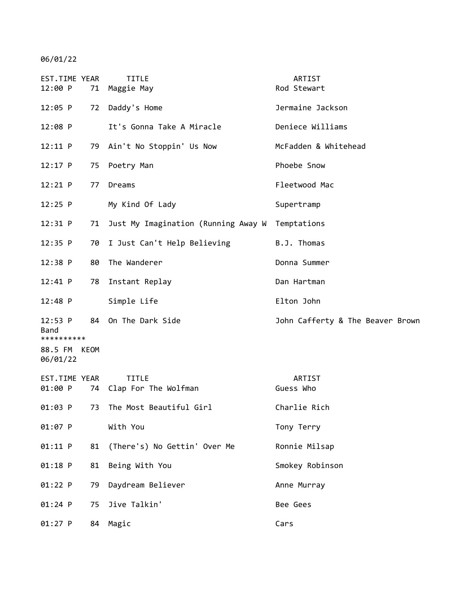06/01/22

| EST.TIME YEAR<br>12:00 P      |    | <b>TITLE</b><br>71 Maggie May           | ARTIST<br>Rod Stewart            |
|-------------------------------|----|-----------------------------------------|----------------------------------|
| $12:05$ P                     | 72 | Daddy's Home                            | Jermaine Jackson                 |
| $12:08$ P                     |    | It's Gonna Take A Miracle               | Deniece Williams                 |
| 12:11 P                       |    | 79 Ain't No Stoppin' Us Now             | McFadden & Whitehead             |
| $12:17$ P                     | 75 | Poetry Man                              | Phoebe Snow                      |
| 12:21 P                       | 77 | Dreams                                  | Fleetwood Mac                    |
| $12:25$ P                     |    | My Kind Of Lady                         | Supertramp                       |
| 12:31 P                       | 71 | Just My Imagination (Running Away W     | Temptations                      |
| $12:35$ P                     | 70 | I Just Can't Help Believing             | B.J. Thomas                      |
| $12:38$ P                     | 80 | The Wanderer                            | Donna Summer                     |
| 12:41 P                       | 78 | Instant Replay                          | Dan Hartman                      |
| $12:48$ P                     |    | Simple Life                             | Elton John                       |
| 12:53 P<br>Band<br>********** |    | 84 On The Dark Side                     | John Cafferty & The Beaver Brown |
| 88.5 FM KEOM<br>06/01/22      |    |                                         |                                  |
| EST.TIME YEAR<br>01:00 P      |    | <b>TITLE</b><br>74 Clap For The Wolfman | ARTIST<br>Guess Who              |
| 01:03 P                       | 73 | The Most Beautiful Girl                 | Charlie Rich                     |
| 01:07 P                       |    | With You                                | Tony Terry                       |
| 01:11 P                       | 81 | (There's) No Gettin' Over Me            | Ronnie Milsap                    |
| $01:18$ P                     | 81 | Being With You                          | Smokey Robinson                  |
| 01:22 P                       | 79 | Daydream Believer                       | Anne Murray                      |
| $01:24$ P                     | 75 | Jive Talkin'                            | Bee Gees                         |
| $01:27$ P                     |    | 84 Magic                                | Cars                             |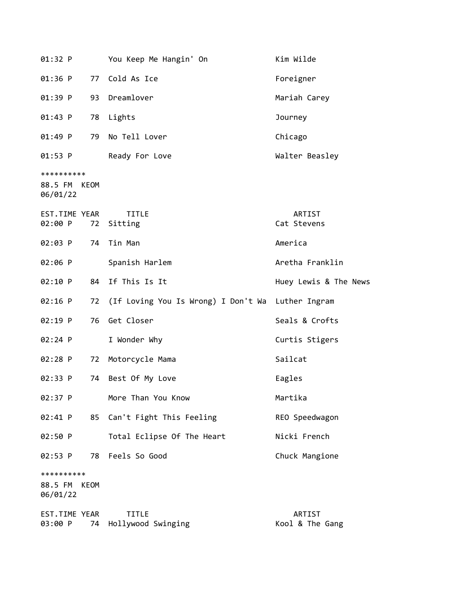| 01:32 P                                          | You Keep Me Hangin' On                            | Kim Wilde                 |
|--------------------------------------------------|---------------------------------------------------|---------------------------|
| $01:36$ P                                        | 77 Cold As Ice                                    | Foreigner                 |
| 01:39 P                                          | 93 Dreamlover                                     | Mariah Carey              |
| $01:43$ P                                        | 78 Lights                                         | Journey                   |
| 01:49 P<br>79                                    | No Tell Lover                                     | Chicago                   |
| 01:53 P                                          | Ready For Love                                    | Walter Beasley            |
| **********<br>88.5 FM KEOM<br>06/01/22           |                                                   |                           |
| EST.TIME YEAR<br>02:00 P                         | <b>TITLE</b><br>72 Sitting                        | ARTIST<br>Cat Stevens     |
| 02:03 P                                          | 74 Tin Man                                        | America                   |
| 02:06 P                                          | Spanish Harlem                                    | Aretha Franklin           |
| 02:10 P                                          | 84 If This Is It                                  | Huey Lewis & The News     |
| $02:16$ P<br>72                                  | (If Loving You Is Wrong) I Don't Wa Luther Ingram |                           |
| $02:19$ P<br>76                                  | Get Closer                                        | Seals & Crofts            |
| $02:24$ P                                        | I Wonder Why                                      | Curtis Stigers            |
| $02:28$ P<br>72                                  | Motorcycle Mama                                   | Sailcat                   |
| 02:33 P<br>74                                    | Best Of My Love                                   | Eagles                    |
| 02:37 P                                          | More Than You Know                                | Martika                   |
| 02:41 P<br>85                                    | Can't Fight This Feeling                          | REO Speedwagon            |
| 02:50 P                                          | Total Eclipse Of The Heart                        | Nicki French              |
| 02:53 P<br>78                                    | Feels So Good                                     | Chuck Mangione            |
| **********<br>88.5 FM<br><b>KEOM</b><br>06/01/22 |                                                   |                           |
| EST.TIME YEAR<br>03:00 P<br>74                   | <b>TITLE</b><br>Hollywood Swinging                | ARTIST<br>Kool & The Gang |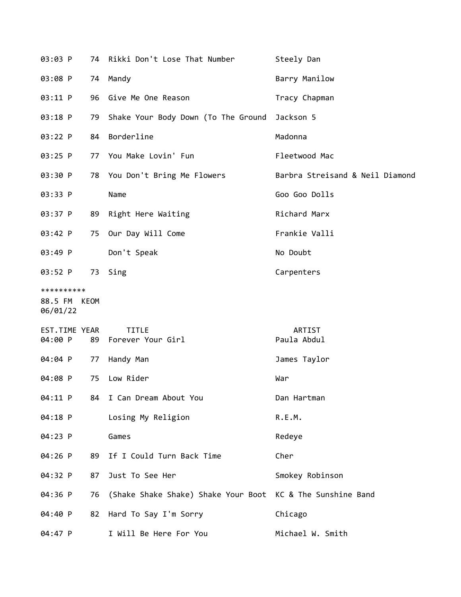| 03:03 P                                |    | 74 Rikki Don't Lose That Number                            | Steely Dan                      |
|----------------------------------------|----|------------------------------------------------------------|---------------------------------|
| 03:08 P                                |    | 74 Mandy                                                   | Barry Manilow                   |
| 03:11 P                                |    | 96 Give Me One Reason                                      | Tracy Chapman                   |
| 03:18 P                                | 79 | Shake Your Body Down (To The Ground Jackson 5              |                                 |
| 03:22 P                                | 84 | Borderline                                                 | Madonna                         |
| 03:25 P                                |    | 77 You Make Lovin' Fun                                     | Fleetwood Mac                   |
| 03:30 P                                |    | 78 You Don't Bring Me Flowers                              | Barbra Streisand & Neil Diamond |
| 03:33 P                                |    | Name                                                       | Goo Goo Dolls                   |
| 03:37 P                                | 89 | Right Here Waiting                                         | Richard Marx                    |
| 03:42 P                                |    | 75 Our Day Will Come                                       | Frankie Valli                   |
| 03:49 P                                |    | Don't Speak                                                | No Doubt                        |
| 03:52 P                                | 73 | Sing                                                       | Carpenters                      |
| **********<br>88.5 FM KEOM<br>06/01/22 |    |                                                            |                                 |
| EST.TIME YEAR<br>04:00 P               | 89 | <b>TITLE</b><br>Forever Your Girl                          | ARTIST<br>Paula Abdul           |
| 04:04 P                                | 77 | Handy Man                                                  | James Taylor                    |
| 04:08 P                                | 75 | Low Rider                                                  | War                             |
| 04:11 P                                | 84 | I Can Dream About You                                      | Dan Hartman                     |
| 04:18 P                                |    | Losing My Religion                                         | R.E.M.                          |
| 04:23 P                                |    | Games                                                      | Redeye                          |
| 04:26 P                                | 89 | If I Could Turn Back Time                                  | Cher                            |
| 04:32 P                                | 87 | Just To See Her                                            | Smokey Robinson                 |
| 04:36 P                                | 76 | (Shake Shake Shake) Shake Your Boot KC & The Sunshine Band |                                 |
| 04:40 P                                | 82 | Hard To Say I'm Sorry                                      | Chicago                         |
| 04:47 P                                |    | I Will Be Here For You                                     | Michael W. Smith                |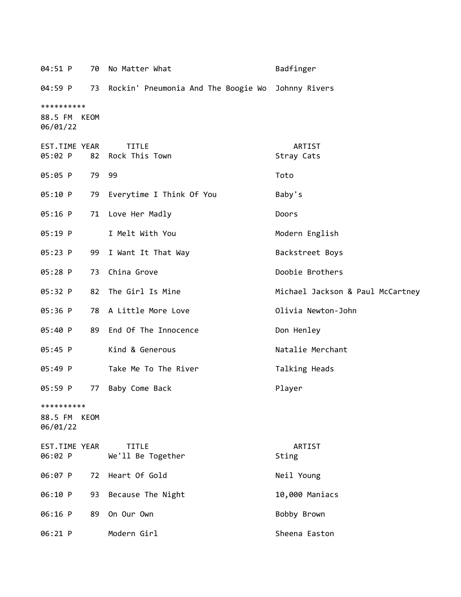| 04:51 P<br>70                             | No Matter What                      | Badfinger                        |
|-------------------------------------------|-------------------------------------|----------------------------------|
| 04:59 P<br>73                             | Rockin' Pneumonia And The Boogie Wo | Johnny Rivers                    |
| **********<br>88.5 FM<br>KEOM<br>06/01/22 |                                     |                                  |
| EST.TIME YEAR<br>05:02 P<br>82            | <b>TITLE</b><br>Rock This Town      | ARTIST<br>Stray Cats             |
| 05:05 P                                   | 79 99                               | Toto                             |
| 05:10 P<br>79                             | Everytime I Think Of You            | Baby's                           |
| 05:16 P<br>71                             | Love Her Madly                      | Doors                            |
| 05:19 P                                   | I Melt With You                     | Modern English                   |
| 05:23 P<br>99                             | I Want It That Way                  | Backstreet Boys                  |
| 05:28 P<br>73                             | China Grove                         | Doobie Brothers                  |
| 05:32 P<br>82                             | The Girl Is Mine                    | Michael Jackson & Paul McCartney |
| 05:36 P                                   | 78 A Little More Love               | Olivia Newton-John               |
| 05:40 P<br>89                             | End Of The Innocence                | Don Henley                       |
| 05:45 P                                   | Kind & Generous                     | Natalie Merchant                 |
| 05:49 P                                   | Take Me To The River                | Talking Heads                    |
| 05:59 P<br>77                             | Baby Come Back                      | Player                           |
| **********<br>88.5 FM KEOM<br>06/01/22    |                                     |                                  |
| EST.TIME YEAR<br>06:02 P                  | <b>TITLE</b><br>We'll Be Together   | ARTIST<br>Sting                  |
| 06:07 P<br>72                             | Heart Of Gold                       | Neil Young                       |
| 06:10 P<br>93                             | Because The Night                   | 10,000 Maniacs                   |
| 06:16 P<br>89                             | On Our Own                          | Bobby Brown                      |
| 06:21 P                                   | Modern Girl                         | Sheena Easton                    |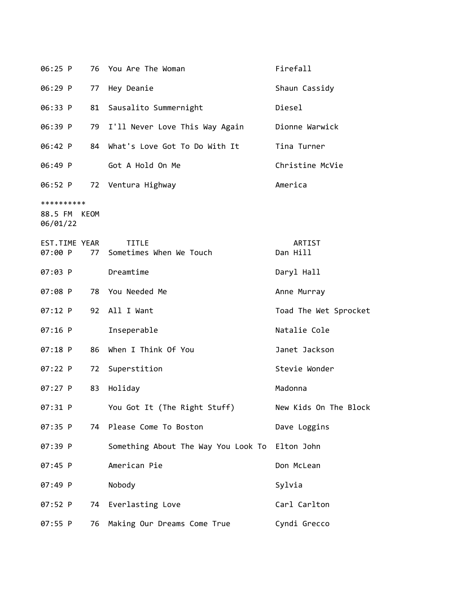| 06:25 P                                | 76 | You Are The Woman                              | Firefall              |
|----------------------------------------|----|------------------------------------------------|-----------------------|
| 06:29 P                                | 77 | Hey Deanie                                     | Shaun Cassidy         |
| 06:33 P                                | 81 | Sausalito Summernight                          | Diesel                |
| 06:39 P                                | 79 | I'll Never Love This Way Again                 | Dionne Warwick        |
| 06:42 P                                | 84 | What's Love Got To Do With It                  | Tina Turner           |
| 06:49 P                                |    | Got A Hold On Me                               | Christine McVie       |
| 06:52 P                                |    | 72 Ventura Highway                             | America               |
| **********<br>88.5 FM KEOM<br>06/01/22 |    |                                                |                       |
| EST.TIME YEAR<br>07:00 P               | 77 | TITLE<br>Sometimes When We Touch               | ARTIST<br>Dan Hill    |
| 07:03 P                                |    | Dreamtime                                      | Daryl Hall            |
| 07:08 P                                |    | 78 You Needed Me                               | Anne Murray           |
| 07:12 P                                |    | 92 All I Want                                  | Toad The Wet Sprocket |
| $07:16$ P                              |    | Inseperable                                    | Natalie Cole          |
| $07:18$ P                              | 86 | When I Think Of You                            | Janet Jackson         |
| $07:22$ P                              | 72 | Superstition                                   | Stevie Wonder         |
| 07:27 P                                | 83 | Holiday                                        | Madonna               |
| 07:31 P                                |    | You Got It (The Right Stuff)                   | New Kids On The Block |
| 07:35 P                                | 74 | Please Come To Boston                          | Dave Loggins          |
| 07:39 P                                |    | Something About The Way You Look To Elton John |                       |
| 07:45 P                                |    | American Pie                                   | Don McLean            |
| 07:49 P                                |    | Nobody                                         | Sylvia                |
| 07:52 P                                | 74 | Everlasting Love                               | Carl Carlton          |
| 07:55 P                                | 76 | Making Our Dreams Come True                    | Cyndi Grecco          |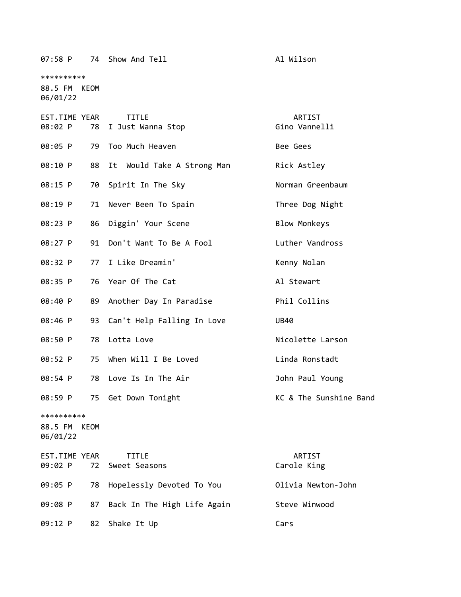07:58 P 74 Show And Tell **All Wilson** \*\*\*\*\*\*\*\*\*\* 88.5 FM KEOM 06/01/22 EST.TIME YEAR TITLE THE REST.TIME YEAR 08:02 P 78 I Just Wanna Stop Gino Vannelli 08:05 P 79 Too Much Heaven Bee Gees 08:10 P 88 It Would Take A Strong Man Rick Astley 08:15 P 70 Spirit In The Sky Norman Greenbaum 08:19 P 71 Never Been To Spain Three Dog Night 08:23 P 86 Diggin' Your Scene Blow Monkeys 08:27 P 91 Don't Want To Be A Fool Luther Vandross 08:32 P 77 I Like Dreamin' Kenny Nolan 08:35 P 76 Year Of The Cat Al Stewart 08:40 P 89 Another Day In Paradise Phil Collins 08:46 P 93 Can't Help Falling In Love UB40 08:50 P 78 Lotta Love Nicolette Larson 08:52 P 75 When Will I Be Loved Correct Linda Ronstadt 08:54 P 78 Love Is In The Air **Franklin** 30hn Paul Young 08:59 P 75 Get Down Tonight Manuel Communist C & The Sunshine Band \*\*\*\*\*\*\*\*\*\* 88.5 FM KEOM 06/01/22 EST.TIME YEAR TITLE ARTIST 09:02 P 72 Sweet Seasons Carole King 09:05 P 78 Hopelessly Devoted To You Olivia Newton-John 09:08 P 87 Back In The High Life Again Steve Winwood

09:12 P 82 Shake It Up Cars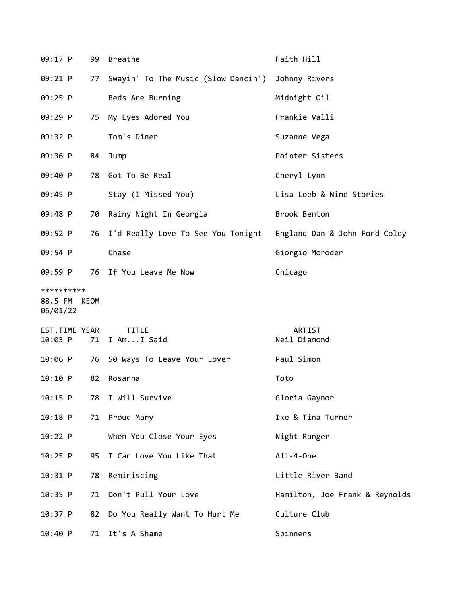| 09:17 P                                | 99 | <b>Breathe</b>                                                   | Faith Hill                     |
|----------------------------------------|----|------------------------------------------------------------------|--------------------------------|
| 09:21 P                                | 77 | Swayin' To The Music (Slow Dancin') Johnny Rivers                |                                |
| 09:25 P                                |    | Beds Are Burning                                                 | Midnight Oil                   |
| 09:29 P                                | 75 | My Eyes Adored You                                               | Frankie Valli                  |
| 09:32 P                                |    | Tom's Diner                                                      | Suzanne Vega                   |
| 09:36 P                                | 84 | Jump                                                             | Pointer Sisters                |
| 09:40 P                                | 78 | Got To Be Real                                                   | Cheryl Lynn                    |
| 09:45 P                                |    | Stay (I Missed You)                                              | Lisa Loeb & Nine Stories       |
| 09:48 P                                | 70 | Rainy Night In Georgia                                           | Brook Benton                   |
| 09:52 P                                | 76 | I'd Really Love To See You Tonight England Dan & John Ford Coley |                                |
| 09:54 P                                |    | Chase                                                            | Giorgio Moroder                |
| 09:59 P                                |    | 76 If You Leave Me Now                                           | Chicago                        |
| **********<br>88.5 FM KEOM<br>06/01/22 |    |                                                                  |                                |
|                                        |    |                                                                  |                                |
| EST.TIME YEAR<br>10:03 P               | 71 | <b>TITLE</b><br>I AmI Said                                       | ARTIST<br>Neil Diamond         |
| $10:06$ P                              | 76 | 50 Ways To Leave Your Lover                                      | Paul Simon                     |
| 10:10 P                                | 82 | Rosanna                                                          | Toto                           |
| 10:15 P                                | 78 | I Will Survive                                                   | Gloria Gaynor                  |
| $10:18$ P                              | 71 | Proud Mary                                                       | Ike & Tina Turner              |
| 10:22 P                                |    | When You Close Your Eyes                                         | Night Ranger                   |
| 10:25 P                                | 95 | I Can Love You Like That                                         | All-4-0ne                      |
| 10:31 P                                | 78 | Reminiscing                                                      | Little River Band              |
| 10:35 P                                | 71 | Don't Pull Your Love                                             | Hamilton, Joe Frank & Reynolds |
| $10:37$ P                              | 82 | Do You Really Want To Hurt Me                                    | Culture Club                   |